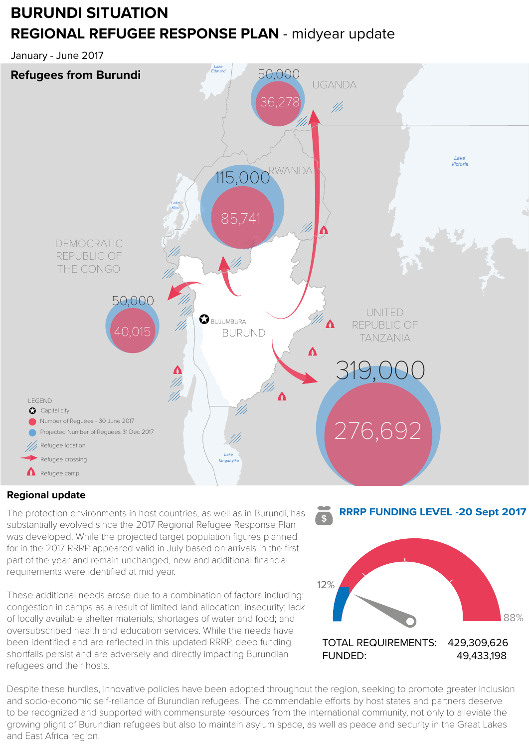# **BURUNDI SITUATION REGIONAL REFUGEE RESPONSE PLAN** - midyear update

January - June 2017



### **Regional update**

was developed. While the projected target population figures planned The protection environments in host countries, as well as in Burundi, has substantially evolved since the 2017 Regional Refugee Response Plan for in the 2017 RRRP appeared valid in July based on arrivals in the first part of the year and remain unchanged, new and additional financial requirements were identified at mid year.

These additional needs arose due to a combination of factors including: congestion in camps as a result of limited land allocation; insecurity; lack of locally available shelter materials; shortages of water and food; and oversubscribed health and education services. While the needs have been identified and are reflected in this updated RRRP, deep funding shortfalls persist and are adversely and directly impacting Burundian refugees and their hosts.



Despite these hurdles, innovative policies have been adopted throughout the region, seeking to promote greater inclusion and socio-economic self-reliance of Burundian refugees. The commendable efforts by host states and partners deserve to be recognized and supported with commensurate resources from the international community, not only to alleviate the growing plight of Burundian refugees but also to maintain asylum space, as well as peace and security in the Great Lakes and East Africa region.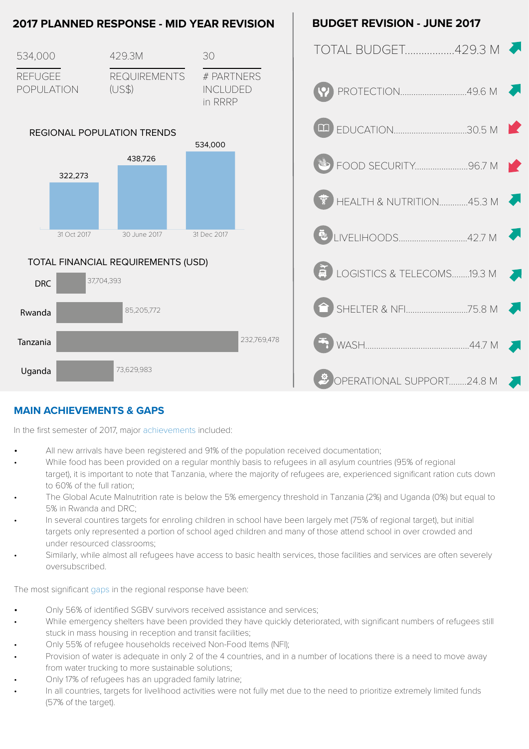

### **MAIN ACHIEVEMENTS & GAPS**

In the first semester of 2017, major achievements included:

- All new arrivals have been registered and 91% of the population received documentation;
- While food has been provided on a regular monthly basis to refugees in all asylum countries (95% of regional target), it is important to note that Tanzania, where the majority of refugees are, experienced significant ration cuts down to 60% of the full ration;
- The Global Acute Malnutrition rate is below the 5% emergency threshold in Tanzania (2%) and Uganda (0%) but equal to 5% in Rwanda and DRC;
- In several countires targets for enroling children in school have been largely met (75% of regional target), but initial targets only represented a portion of school aged children and many of those attend school in over crowded and under resourced classrooms;
- Similarly, while almost all refugees have access to basic health services, those facilities and services are often severely oversubscribed.

The most significant gaps in the regional response have been:

- Only 56% of identified SGBV survivors received assistance and services;
- While emergency shelters have been provided they have quickly deteriorated, with significant numbers of refugees still stuck in mass housing in reception and transit facilities;
- Only 55% of refugee households received Non-Food Items (NFI);
- Provision of water is adequate in only 2 of the 4 countries, and in a number of locations there is a need to move away from water trucking to more sustainable solutions;
- Only 17% of refugees has an upgraded family latrine;
- In all countries, targets for livelihood activities were not fully met due to the need to prioritize extremely limited funds (57% of the target).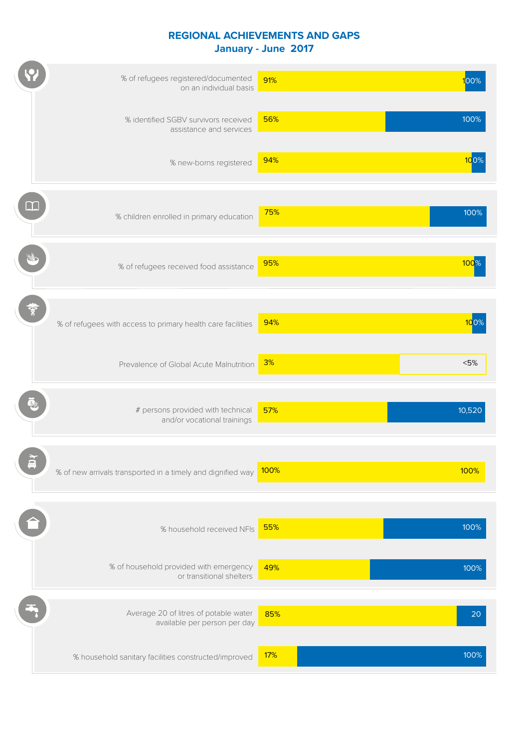#### **REGIONAL ACHIEVEMENTS AND GAPS January - June 2017**

| % of refugees registered/documented<br>on an individual basis         | 91%  | $100\%$ |
|-----------------------------------------------------------------------|------|---------|
| % identified SGBV survivors received<br>assistance and services       | 56%  | 100%    |
| % new-borns registered                                                | 94%  | 100%    |
| % children enrolled in primary education                              | 75%  | 100%    |
| % of refugees received food assistance                                | 95%  | 100%    |
| % of refugees with access to primary health care facilities           | 94%  | 100     |
| Prevalence of Global Acute Malnutrition                               | 3%   | < 5%    |
| # persons provided with technical<br>and/or vocational trainings      | 57%  | 10,520  |
| % of new arrivals transported in a timely and dignified way           | 100% | 100%    |
| % household received NFIs                                             | 55%  | 100%    |
| % of household provided with emergency<br>or transitional shelters    | 49%  | 100%    |
| Average 20 of litres of potable water<br>available per person per day | 85%  | 20      |
| % household sanitary facilities constructed/improved                  | 17%  | 100%    |